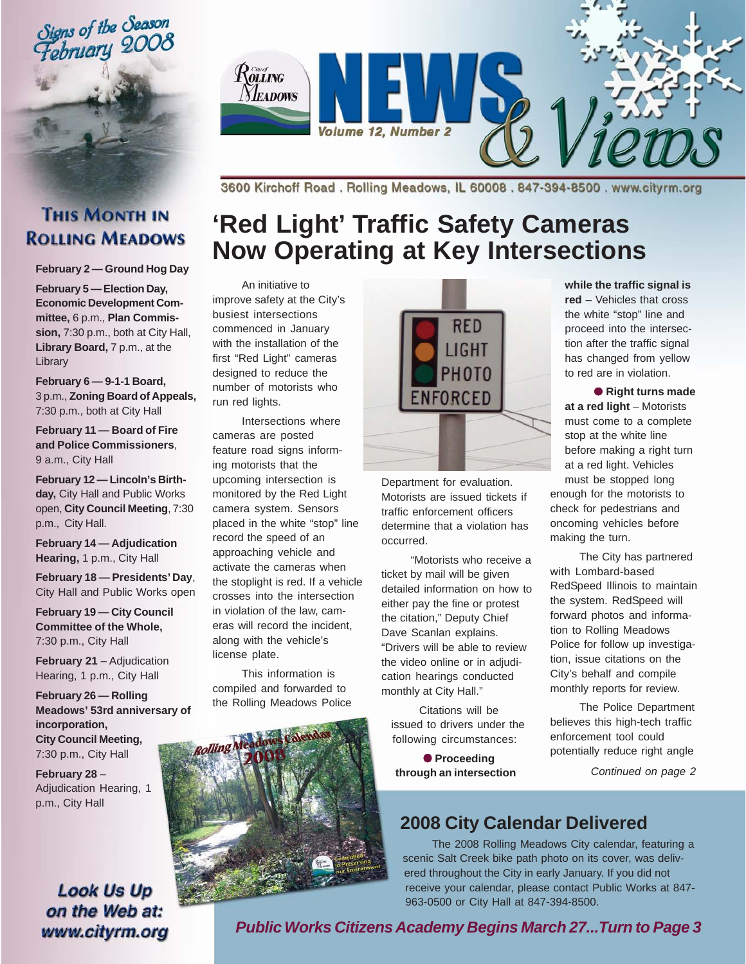Signs of the Season<br>February 2008



3600 Kirchoff Road. Rolling Meadows, IL 60008. 847-394-8500. www.cityrm.org

### **THIS MONTH IN ROLLING MEADOWS**

**February 2 — Ground Hog Day**

**February 5 — Election Day, Economic Development Committee,** 6 p.m., **Plan Commission,** 7:30 p.m., both at City Hall, Library Board, 7 p.m., at the Library

**February 6 — 9-1-1 Board,** 3 p.m., **Zoning Board of Appeals,** 7:30 p.m., both at City Hall

**February 11 — Board of Fire and Police Commissioners**, 9 a.m., City Hall

**February 12 — Lincoln's Birthday,** City Hall and Public Works open, **City Council Meeting**, 7:30 p.m., City Hall.

**February 14 — Adjudication Hearing,** 1 p.m., City Hall

**February 18 — Presidents' Day**, City Hall and Public Works open

**February 19 — City Council Committee of the Whole,** 7:30 p.m., City Hall

**February 21 – Adjudication** Hearing, 1 p.m., City Hall

**February 26 — Rolling Meadows' 53rd anniversary of incorporation, City Council Meeting,** 7:30 p.m., City Hall

**February 28** – Adjudication Hearing, 1 p.m., City Hall

### **Look Us Up** on the Web at: www.cityrm.org

# **'Red Light' Traffic Safety Cameras Now Operating at Key Intersections**

An initiative to improve safety at the City's busiest intersections commenced in January with the installation of the first "Red Light" cameras designed to reduce the number of motorists who run red lights.

Intersections where cameras are posted feature road signs informing motorists that the upcoming intersection is monitored by the Red Light camera system. Sensors placed in the white "stop" line record the speed of an approaching vehicle and activate the cameras when the stoplight is red. If a vehicle crosses into the intersection in violation of the law, cameras will record the incident, along with the vehicle's license plate.

This information is compiled and forwarded to the Rolling Meadows Police



Department for evaluation. Motorists are issued tickets if traffic enforcement officers determine that a violation has occurred.

"Motorists who receive a ticket by mail will be given detailed information on how to either pay the fine or protest the citation," Deputy Chief Dave Scanlan explains. "Drivers will be able to review the video online or in adjudication hearings conducted monthly at City Hall."

Citations will be issued to drivers under the following circumstances:

● **Proceeding through an intersection**

**while the traffic signal is red** – Vehicles that cross the white "stop" line and proceed into the intersection after the traffic signal has changed from yellow to red are in violation.

● **Right turns made at a red light** – Motorists must come to a complete stop at the white line before making a right turn at a red light. Vehicles must be stopped long enough for the motorists to check for pedestrians and oncoming vehicles before making the turn.

The City has partnered with Lombard-based RedSpeed Illinois to maintain the system. RedSpeed will forward photos and information to Rolling Meadows Police for follow up investigation, issue citations on the City's behalf and compile monthly reports for review.

The Police Department believes this high-tech traffic enforcement tool could potentially reduce right angle

*Continued on page 2*

### **2008 City Calendar Delivered**

The 2008 Rolling Meadows City calendar, featuring a scenic Salt Creek bike path photo on its cover, was delivered throughout the City in early January. If you did not receive your calendar, please contact Public Works at 847- 963-0500 or City Hall at 847-394-8500.



*Public Works Citizens Academy Begins March 27...Turn to Page 3*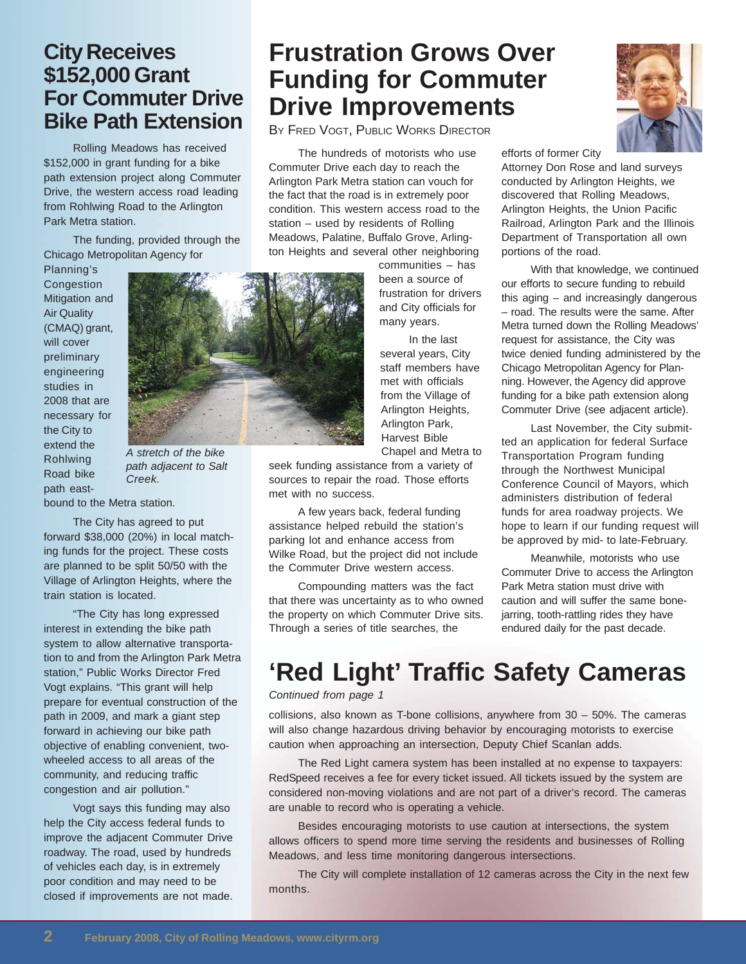### **City Receives \$152,000 Grant For Commuter Drive Bike Path Extension**

Rolling Meadows has received \$152,000 in grant funding for a bike path extension project along Commuter Drive, the western access road leading from Rohlwing Road to the Arlington Park Metra station.

The funding, provided through the Chicago Metropolitan Agency for

Planning's **Congestion** Mitigation and Air Quality (CMAQ) grant, will cover preliminary engineering studies in 2008 that are necessary for the City to extend the Rohlwing Road bike path east-



bound to the Metra station.

The City has agreed to put forward \$38,000 (20%) in local matching funds for the project. These costs are planned to be split 50/50 with the Village of Arlington Heights, where the train station is located.

"The City has long expressed interest in extending the bike path system to allow alternative transportation to and from the Arlington Park Metra station," Public Works Director Fred Vogt explains. "This grant will help prepare for eventual construction of the path in 2009, and mark a giant step forward in achieving our bike path objective of enabling convenient, twowheeled access to all areas of the community, and reducing traffic congestion and air pollution."

Vogt says this funding may also help the City access federal funds to improve the adjacent Commuter Drive roadway. The road, used by hundreds of vehicles each day, is in extremely poor condition and may need to be closed if improvements are not made.

### **Frustration Grows Over Funding for Commuter Drive Improvements**

BY FRED VOGT, PUBLIC WORKS DIRECTOR

The hundreds of motorists who use Commuter Drive each day to reach the Arlington Park Metra station can vouch for the fact that the road is in extremely poor condition. This western access road to the station – used by residents of Rolling Meadows, Palatine, Buffalo Grove, Arlington Heights and several other neighboring

communities – has been a source of frustration for drivers and City officials for many years.

In the last several years, City staff members have met with officials from the Village of Arlington Heights, Arlington Park, Harvest Bible Chapel and Metra to

seek funding assistance from a variety of sources to repair the road. Those efforts met with no success.

A few years back, federal funding assistance helped rebuild the station's parking lot and enhance access from Wilke Road, but the project did not include the Commuter Drive western access.

Compounding matters was the fact that there was uncertainty as to who owned the property on which Commuter Drive sits. Through a series of title searches, the



efforts of former City

Attorney Don Rose and land surveys conducted by Arlington Heights, we discovered that Rolling Meadows, Arlington Heights, the Union Pacific Railroad, Arlington Park and the Illinois Department of Transportation all own portions of the road.

With that knowledge, we continued our efforts to secure funding to rebuild this aging – and increasingly dangerous – road. The results were the same. After Metra turned down the Rolling Meadows' request for assistance, the City was twice denied funding administered by the Chicago Metropolitan Agency for Planning. However, the Agency did approve funding for a bike path extension along Commuter Drive (see adjacent article).

Last November, the City submitted an application for federal Surface Transportation Program funding through the Northwest Municipal Conference Council of Mayors, which administers distribution of federal funds for area roadway projects. We hope to learn if our funding request will be approved by mid- to late-February.

Meanwhile, motorists who use Commuter Drive to access the Arlington Park Metra station must drive with caution and will suffer the same bonejarring, tooth-rattling rides they have endured daily for the past decade.

# **'Red Light' Traffic Safety Cameras**

*Continued from page 1*

collisions, also known as T-bone collisions, anywhere from 30 – 50%. The cameras will also change hazardous driving behavior by encouraging motorists to exercise caution when approaching an intersection, Deputy Chief Scanlan adds.

The Red Light camera system has been installed at no expense to taxpayers: RedSpeed receives a fee for every ticket issued. All tickets issued by the system are considered non-moving violations and are not part of a driver's record. The cameras are unable to record who is operating a vehicle.

Besides encouraging motorists to use caution at intersections, the system allows officers to spend more time serving the residents and businesses of Rolling Meadows, and less time monitoring dangerous intersections.

The City will complete installation of 12 cameras across the City in the next few months.

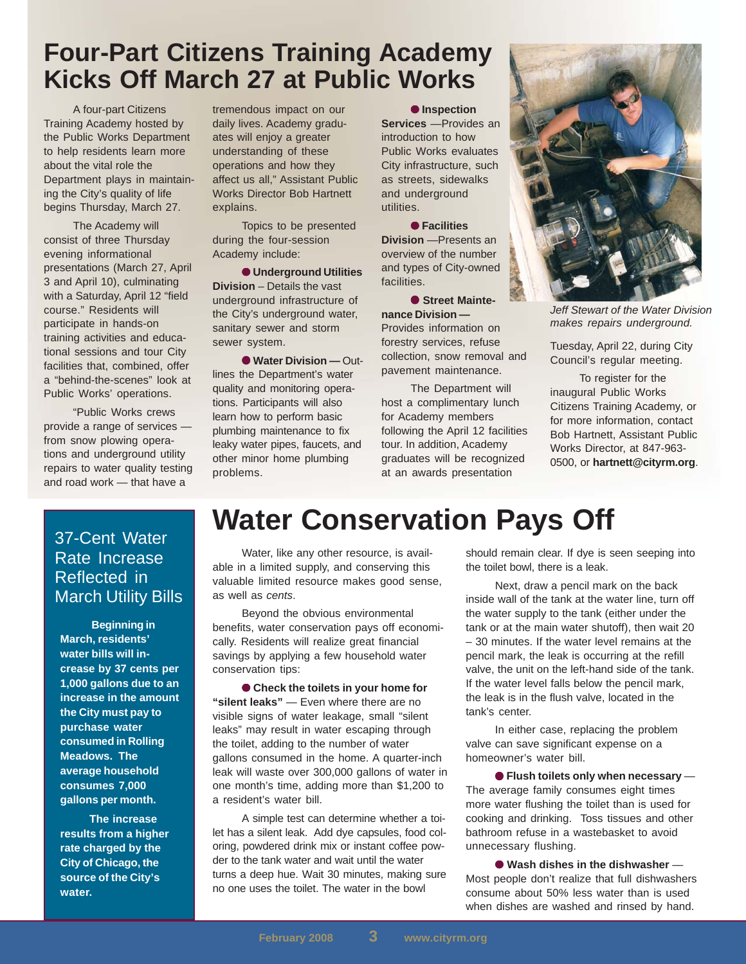### **Four-Part Citizens Training Academy Kicks Off March 27 at Public Works**

A four-part Citizens Training Academy hosted by the Public Works Department to help residents learn more about the vital role the Department plays in maintaining the City's quality of life begins Thursday, March 27.

The Academy will consist of three Thursday evening informational presentations (March 27, April 3 and April 10), culminating with a Saturday, April 12 "field course." Residents will participate in hands-on training activities and educational sessions and tour City facilities that, combined, offer a "behind-the-scenes" look at Public Works' operations.

"Public Works crews provide a range of services from snow plowing operations and underground utility repairs to water quality testing and road work — that have a

tremendous impact on our daily lives. Academy graduates will enjoy a greater understanding of these operations and how they affect us all," Assistant Public Works Director Bob Hartnett explains.

Topics to be presented during the four-session Academy include:

● **Underground Utilities Division** – Details the vast underground infrastructure of the City's underground water, sanitary sewer and storm sewer system.

● **Water Division —** Outlines the Department's water quality and monitoring operations. Participants will also learn how to perform basic plumbing maintenance to fix leaky water pipes, faucets, and other minor home plumbing problems.

● **Inspection Services** —Provides an introduction to how Public Works evaluates City infrastructure, such as streets, sidewalks and underground utilities.

● **Facilities Division** —Presents an overview of the number and types of City-owned facilities.

● **Street Maintenance Division —** Provides information on forestry services, refuse collection, snow removal and pavement maintenance.

The Department will host a complimentary lunch for Academy members following the April 12 facilities tour. In addition, Academy graduates will be recognized at an awards presentation



*Jeff Stewart of the Water Division makes repairs underground.*

Tuesday, April 22, during City Council's regular meeting.

To register for the inaugural Public Works Citizens Training Academy, or for more information, contact Bob Hartnett, Assistant Public Works Director, at 847-963- 0500, or **hartnett@cityrm.org**.

#### 37-Cent Water Rate Increase Reflected in March Utility Bills

 **Beginning in March, residents' water bills will increase by 37 cents per 1,000 gallons due to an increase in the amount the City must pay to purchase water consumed in Rolling Meadows. The average household consumes 7,000 gallons per month.**

**The increase results from a higher rate charged by the City of Chicago, the source of the City's water.**

# **Water Conservation Pays Off**

Water, like any other resource, is available in a limited supply, and conserving this valuable limited resource makes good sense, as well as *cents*.

Beyond the obvious environmental benefits, water conservation pays off economically. Residents will realize great financial savings by applying a few household water conservation tips:

● Check the toilets in your home for **"silent leaks"** — Even where there are no visible signs of water leakage, small "silent leaks" may result in water escaping through the toilet, adding to the number of water gallons consumed in the home. A quarter-inch leak will waste over 300,000 gallons of water in one month's time, adding more than \$1,200 to a resident's water bill.

A simple test can determine whether a toilet has a silent leak. Add dye capsules, food coloring, powdered drink mix or instant coffee powder to the tank water and wait until the water turns a deep hue. Wait 30 minutes, making sure no one uses the toilet. The water in the bowl

should remain clear. If dye is seen seeping into the toilet bowl, there is a leak.

Next, draw a pencil mark on the back inside wall of the tank at the water line, turn off the water supply to the tank (either under the tank or at the main water shutoff), then wait 20 – 30 minutes. If the water level remains at the pencil mark, the leak is occurring at the refill valve, the unit on the left-hand side of the tank. If the water level falls below the pencil mark, the leak is in the flush valve, located in the tank's center.

In either case, replacing the problem valve can save significant expense on a homeowner's water bill.

● **Flush toilets only when necessary** — The average family consumes eight times more water flushing the toilet than is used for cooking and drinking. Toss tissues and other bathroom refuse in a wastebasket to avoid unnecessary flushing.

● **Wash dishes in the dishwasher** — Most people don't realize that full dishwashers consume about 50% less water than is used when dishes are washed and rinsed by hand.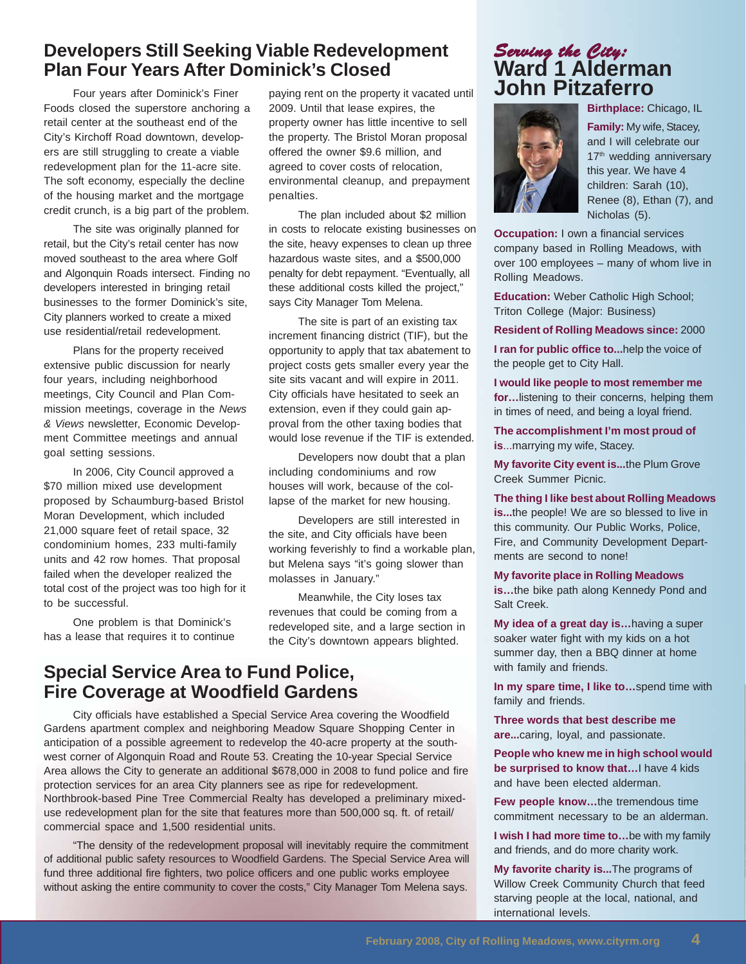#### **Developers Still Seeking Viable Redevelopment Plan Four Years After Dominick's Closed**

Four years after Dominick's Finer Foods closed the superstore anchoring a retail center at the southeast end of the City's Kirchoff Road downtown, developers are still struggling to create a viable redevelopment plan for the 11-acre site. The soft economy, especially the decline of the housing market and the mortgage credit crunch, is a big part of the problem.

The site was originally planned for retail, but the City's retail center has now moved southeast to the area where Golf and Algonquin Roads intersect. Finding no developers interested in bringing retail businesses to the former Dominick's site, City planners worked to create a mixed use residential/retail redevelopment.

Plans for the property received extensive public discussion for nearly four years, including neighborhood meetings, City Council and Plan Commission meetings, coverage in the *News & Views* newsletter, Economic Development Committee meetings and annual goal setting sessions.

In 2006, City Council approved a \$70 million mixed use development proposed by Schaumburg-based Bristol Moran Development, which included 21,000 square feet of retail space, 32 condominium homes, 233 multi-family units and 42 row homes. That proposal failed when the developer realized the total cost of the project was too high for it to be successful.

One problem is that Dominick's has a lease that requires it to continue paying rent on the property it vacated until 2009. Until that lease expires, the property owner has little incentive to sell the property. The Bristol Moran proposal offered the owner \$9.6 million, and agreed to cover costs of relocation, environmental cleanup, and prepayment penalties.

The plan included about \$2 million in costs to relocate existing businesses on the site, heavy expenses to clean up three hazardous waste sites, and a \$500,000 penalty for debt repayment. "Eventually, all these additional costs killed the project," says City Manager Tom Melena.

The site is part of an existing tax increment financing district (TIF), but the opportunity to apply that tax abatement to project costs gets smaller every year the site sits vacant and will expire in 2011. City officials have hesitated to seek an extension, even if they could gain approval from the other taxing bodies that would lose revenue if the TIF is extended.

Developers now doubt that a plan including condominiums and row houses will work, because of the collapse of the market for new housing.

Developers are still interested in the site, and City officials have been working feverishly to find a workable plan, but Melena says "it's going slower than molasses in January."

Meanwhile, the City loses tax revenues that could be coming from a redeveloped site, and a large section in the City's downtown appears blighted.

### **Special Service Area to Fund Police, Fire Coverage at Woodfield Gardens**

City officials have established a Special Service Area covering the Woodfield Gardens apartment complex and neighboring Meadow Square Shopping Center in anticipation of a possible agreement to redevelop the 40-acre property at the southwest corner of Algonquin Road and Route 53. Creating the 10-year Special Service Area allows the City to generate an additional \$678,000 in 2008 to fund police and fire protection services for an area City planners see as ripe for redevelopment. Northbrook-based Pine Tree Commercial Realty has developed a preliminary mixeduse redevelopment plan for the site that features more than 500,000 sq. ft. of retail/ commercial space and 1,500 residential units.

"The density of the redevelopment proposal will inevitably require the commitment of additional public safety resources to Woodfield Gardens. The Special Service Area will fund three additional fire fighters, two police officers and one public works employee without asking the entire community to cover the costs," City Manager Tom Melena says.

#### *Serving the City: Serving City:* **Ward 1 Alderman John Pitzaferro**

**Birthplace:** Chicago, IL



**Family:** My wife, Stacey, and I will celebrate our 17<sup>th</sup> wedding anniversary this year. We have 4 children: Sarah (10), Renee (8), Ethan (7), and Nicholas (5).

**Occupation:** I own a financial services company based in Rolling Meadows, with over 100 employees – many of whom live in Rolling Meadows.

**Education:** Weber Catholic High School; Triton College (Major: Business)

**Resident of Rolling Meadows since:** 2000

**I ran for public office to...**help the voice of the people get to City Hall.

**I would like people to most remember me for…**listening to their concerns, helping them in times of need, and being a loyal friend.

**The accomplishment I'm most proud of is**...marrying my wife, Stacey.

**My favorite City event is...**the Plum Grove Creek Summer Picnic.

**The thing I like best about Rolling Meadows is...**the people! We are so blessed to live in this community. Our Public Works, Police, Fire, and Community Development Departments are second to none!

**My favorite place in Rolling Meadows**

**is…**the bike path along Kennedy Pond and Salt Creek.

**My idea of a great day is…**having a super soaker water fight with my kids on a hot summer day, then a BBQ dinner at home with family and friends.

**In my spare time, I like to…**spend time with family and friends.

**Three words that best describe me are...**caring, loyal, and passionate.

**People who knew me in high school would be surprised to know that...** have 4 kids and have been elected alderman.

**Few people know…**the tremendous time commitment necessary to be an alderman.

**I wish I had more time to…**be with my family and friends, and do more charity work.

**My favorite charity is...**The programs of Willow Creek Community Church that feed starving people at the local, national, and international levels.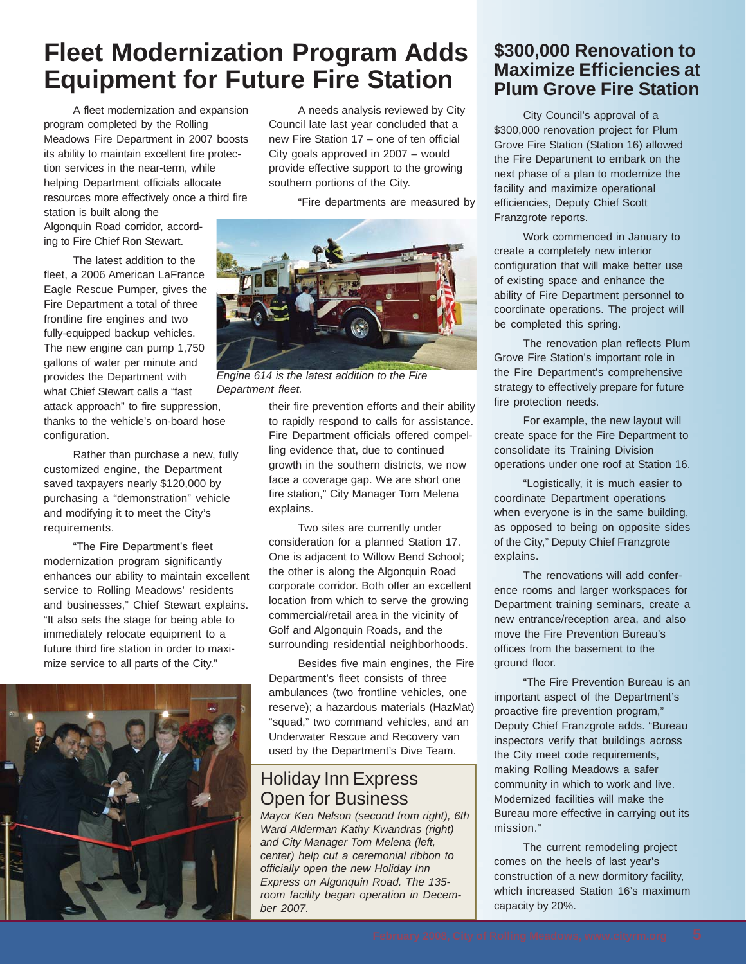# **Fleet Modernization Program Adds Equipment for Future Fire Station**

A fleet modernization and expansion program completed by the Rolling Meadows Fire Department in 2007 boosts its ability to maintain excellent fire protection services in the near-term, while helping Department officials allocate resources more effectively once a third fire

station is built along the Algonquin Road corridor, according to Fire Chief Ron Stewart.

The latest addition to the fleet, a 2006 American LaFrance Eagle Rescue Pumper, gives the Fire Department a total of three frontline fire engines and two fully-equipped backup vehicles. The new engine can pump 1,750 gallons of water per minute and provides the Department with what Chief Stewart calls a "fast

attack approach" to fire suppression, thanks to the vehicle's on-board hose configuration.

Rather than purchase a new, fully customized engine, the Department saved taxpayers nearly \$120,000 by purchasing a "demonstration" vehicle and modifying it to meet the City's requirements.

"The Fire Department's fleet modernization program significantly enhances our ability to maintain excellent service to Rolling Meadows' residents and businesses," Chief Stewart explains. "It also sets the stage for being able to immediately relocate equipment to a future third fire station in order to maximize service to all parts of the City."



A needs analysis reviewed by City Council late last year concluded that a new Fire Station 17 – one of ten official City goals approved in 2007 – would provide effective support to the growing southern portions of the City.

"Fire departments are measured by



*Engine 614 is the latest addition to the Fire Department fleet.*

their fire prevention efforts and their ability to rapidly respond to calls for assistance. Fire Department officials offered compelling evidence that, due to continued growth in the southern districts, we now face a coverage gap. We are short one fire station," City Manager Tom Melena explains.

Two sites are currently under consideration for a planned Station 17. One is adjacent to Willow Bend School; the other is along the Algonquin Road corporate corridor. Both offer an excellent location from which to serve the growing commercial/retail area in the vicinity of Golf and Algonquin Roads, and the surrounding residential neighborhoods.

Besides five main engines, the Fire Department's fleet consists of three ambulances (two frontline vehicles, one reserve); a hazardous materials (HazMat) "squad," two command vehicles, and an Underwater Rescue and Recovery van used by the Department's Dive Team.

### Holiday Inn Express Open for Business

*Mayor Ken Nelson (second from right), 6th Ward Alderman Kathy Kwandras (right) and City Manager Tom Melena (left, center) help cut a ceremonial ribbon to officially open the new Holiday Inn Express on Algonquin Road. The 135 room facility began operation in December 2007.*

#### **\$300,000 Renovation to Maximize Efficiencies at Plum Grove Fire Station**

City Council's approval of a \$300,000 renovation project for Plum Grove Fire Station (Station 16) allowed the Fire Department to embark on the next phase of a plan to modernize the facility and maximize operational efficiencies, Deputy Chief Scott Franzgrote reports.

Work commenced in January to create a completely new interior configuration that will make better use of existing space and enhance the ability of Fire Department personnel to coordinate operations. The project will be completed this spring.

The renovation plan reflects Plum Grove Fire Station's important role in the Fire Department's comprehensive strategy to effectively prepare for future fire protection needs.

For example, the new layout will create space for the Fire Department to consolidate its Training Division operations under one roof at Station 16.

"Logistically, it is much easier to coordinate Department operations when everyone is in the same building, as opposed to being on opposite sides of the City," Deputy Chief Franzgrote explains.

The renovations will add conference rooms and larger workspaces for Department training seminars, create a new entrance/reception area, and also move the Fire Prevention Bureau's offices from the basement to the ground floor.

"The Fire Prevention Bureau is an important aspect of the Department's proactive fire prevention program," Deputy Chief Franzgrote adds. "Bureau inspectors verify that buildings across the City meet code requirements, making Rolling Meadows a safer community in which to work and live. Modernized facilities will make the Bureau more effective in carrying out its mission."

The current remodeling project comes on the heels of last year's construction of a new dormitory facility, which increased Station 16's maximum capacity by 20%.